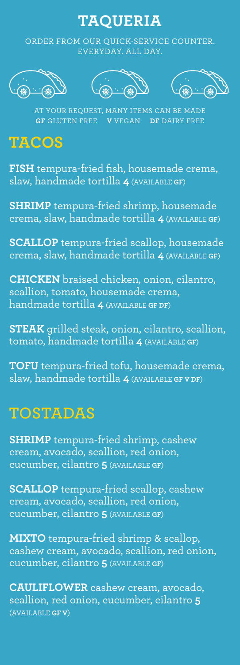### **TAQUERIA**

ORDER FROM OUR QUICK-SERVICE COUNTER. EVERYDAY. ALL DAY.







AT YOUR REQUEST, MANY ITEMS CAN BE MADE **GF** GLUTEN FREE **V** VEGAN **DF** DAIRY FREE

## **TACOS**

**FISH** tempura-fried fish, housemade crema, slaw, handmade tortilla **4** (AVAILABLE **GF**)

**SHRIMP** tempura-fried shrimp, housemade crema, slaw, handmade tortilla **4** (AVAILABLE **GF**)

**SCALLOP** tempura-fried scallop, housemade crema, slaw, handmade tortilla **4** (AVAILABLE **GF**)

**CHICKEN** braised chicken, onion, cilantro, scallion, tomato, housemade crema, handmade tortilla **4** (AVAILABLE **GF DF**)

**STEAK** grilled steak, onion, cilantro, scallion, tomato, handmade tortilla **4** (AVAILABLE **GF**)

**TOFU** tempura-fried tofu, housemade crema, slaw, handmade tortilla **4** (AVAILABLE **GF V DF**)

## **TOSTADAS**

**SHRIMP** tempura-fried shrimp, cashew cream, avocado, scallion, red onion, cucumber, cilantro **5** (AVAILABLE **GF**)

**SCALLOP** tempura-fried scallop, cashew cream, avocado, scallion, red onion, cucumber, cilantro **5** (AVAILABLE **GF**)

**MIXTO** tempura-fried shrimp & scallop, cashew cream, avocado, scallion, red onion, cucumber, cilantro **5** (AVAILABLE **GF**)

**CAULIFLOWER** cashew cream, avocado, scallion, red onion, cucumber, cilantro **5**  (AVAILABLE **GF V**)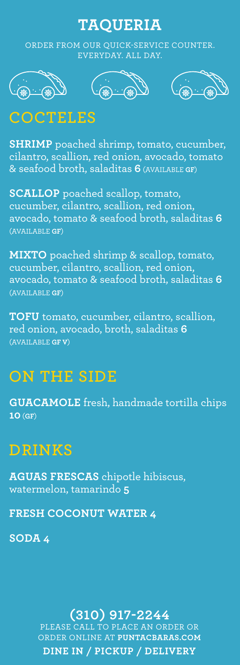#### **TAQUERIA**

ORDER FROM OUR QUICK-SERVICE COUNTER. EVERYDAY. ALL DAY.







## **COCTELES**

**SHRIMP** poached shrimp, tomato, cucumber, cilantro, scallion, red onion, avocado, tomato & seafood broth, saladitas **6** (AVAILABLE **GF**)

**SCALLOP** poached scallop, tomato, cucumber, cilantro, scallion, red onion, avocado, tomato & seafood broth, saladitas **6**  (AVAILABLE **GF**)

**MIXTO** poached shrimp & scallop, tomato, cucumber, cilantro, scallion, red onion, avocado, tomato & seafood broth, saladitas **6**  (AVAILABLE **GF**)

**TOFU** tomato, cucumber, cilantro, scallion, red onion, avocado, broth, saladitas **6**  (AVAILABLE **GF V**)

#### **ON THE SIDE**

**GUACAMOLE** fresh, handmade tortilla chips **10** (**GF**)

### **DRINKS**

**AGUAS FRESCAS** chipotle hibiscus, watermelon, tamarindo **5**

**FRESH COCONUT WATER 4**

**SODA 4**

**(310) 917-2244** PLEASE CALL TO PLACE AN ORDER OR ORDER ONLINE AT **PUNTACBARAS.COM DINE IN / PICKUP / DELIVERY**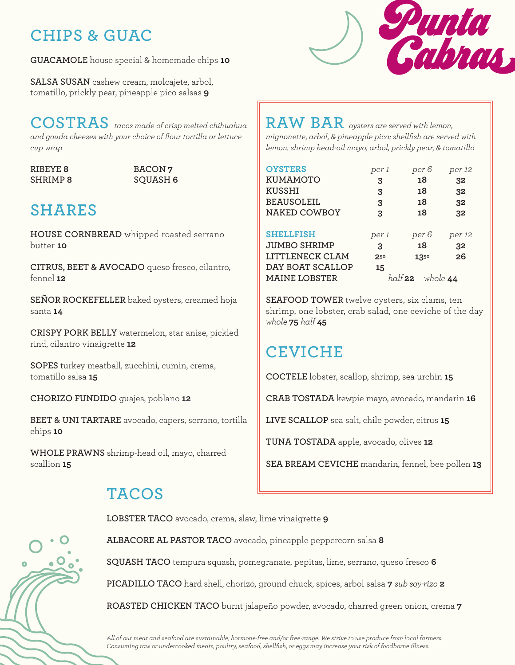## **CHIPS & GUAC**

**GUACAMOLE** house special & homemade chips **10**

**SALSA SUSAN** cashew cream, molcajete, arbol, tomatillo, prickly pear, pineapple pico salsas **9**

#### **COSTRAS** *tacos made of crisp melted chihuahua and gouda cheeses with your choice of flour tortilla or lettuce cup wrap*

#### **RIBEYE 8 BACON 7 SHRIMP 8 SQUASH 6**

# **SHARES**

**HOUSE CORNBREAD** whipped roasted serrano butter **10**

**CITRUS, BEET & AVOCADO** queso fresco, cilantro, fennel **12**

**SEÑOR ROCKEFELLER** baked oysters, creamed hoja santa **14**

**CRISPY PORK BELLY** watermelon, star anise, pickled rind, cilantro vinaigrette **12**

**SOPES** turkey meatball, zucchini, cumin, crema, tomatillo salsa **15**

**CHORIZO FUNDIDO** guajes, poblano **12**

**BEET & UNI TARTARE** avocado, capers, serrano, tortilla chips **10**

**WHOLE PRAWNS** shrimp-head oil, mayo, charred scallion **15**

# Punta Palphais,

**RAW BAR** *oysters are served with lemon, mignonette, arbol, & pineapple pico; shellfish are served with lemon, shrimp head-oil mayo, arbol, prickly pear, & tomatillo*

| <b>OYSTERS</b>       | per 1 | per 6                      | per 12 |
|----------------------|-------|----------------------------|--------|
| <b>KUMAMOTO</b>      | 3     | 18                         | 32     |
| <b>KUSSHI</b>        | 3     | 18                         | 32     |
| <b>BEAUSOLEIL</b>    | 3     | 18                         | 32     |
| NAKED COWBOY         | 3     | 18                         | 32     |
|                      |       |                            |        |
| <b>SHELLFISH</b>     | per 1 | per 6                      | per 12 |
| <b>JUMBO SHRIMP</b>  | 3     | 18                         | 32     |
| LITTLENECK CLAM      | 250   | 1350                       | 26     |
| DAY BOAT SCALLOP     | 15    |                            |        |
| <b>MAINE LOBSTER</b> |       | whole 44<br>half $\bf{22}$ |        |

**SEAFOOD TOWER** twelve oysters, six clams, ten shrimp, one lobster, crab salad, one ceviche of the day *whole* **75** *half* **45**

## **CEVICHE**

**COCTELE** lobster, scallop, shrimp, sea urchin **15**

**CRAB TOSTADA** kewpie mayo, avocado, mandarin **16**

**LIVE SCALLOP** sea salt, chile powder, citrus **15**

**TUNA TOSTADA** apple, avocado, olives **12**

**SEA BREAM CEVICHE** mandarin, fennel, bee pollen **13**

## **TACOS**

**LOBSTER TACO** avocado, crema, slaw, lime vinaigrette **9**



**ALBACORE AL PASTOR TACO** avocado, pineapple peppercorn salsa **8 SQUASH TACO** tempura squash, pomegranate, pepitas, lime, serrano, queso fresco **6 PICADILLO TACO** hard shell, chorizo, ground chuck, spices, arbol salsa **7** *sub soy-rizo* **2 ROASTED CHICKEN TACO** burnt jalapeño powder, avocado, charred green onion, crema **7**

*All of our meat and seafood are sustainable, hormone-free and/or free-range. We strive to use produce from local farmers. Consuming raw or undercooked meats, poultry, seafood, shellfish, or eggs may increase your risk of foodborne illness.*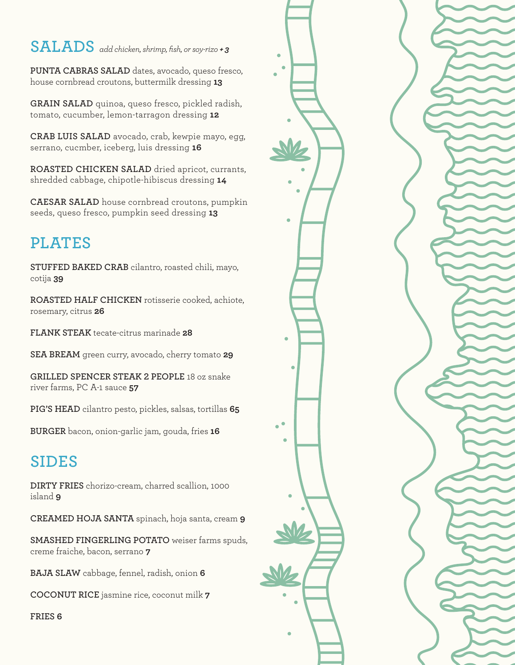## **SALADS** *add chicken, shrimp, fish, or soy-rizo + 3*

**PUNTA CABRAS SALAD** dates, avocado, queso fresco, house cornbread croutons, buttermilk dressing **13**

**GRAIN SALAD** quinoa, queso fresco, pickled radish, tomato, cucumber, lemon-tarragon dressing **12** 

**CRAB LUIS SALAD** avocado, crab, kewpie mayo, egg, serrano, cucmber, iceberg, luis dressing **16**

**ROASTED CHICKEN SALAD** dried apricot, currants, shredded cabbage, chipotle-hibiscus dressing **14**

**CAESAR SALAD** house cornbread croutons, pumpkin seeds, queso fresco, pumpkin seed dressing **13**

# **PLATES**

**STUFFED BAKED CRAB** cilantro, roasted chili, mayo, cotija **39**

**ROASTED HALF CHICKEN** rotisserie cooked, achiote, rosemary, citrus **26**

**FLANK STEAK** tecate-citrus marinade **28**

**SEA BREAM** green curry, avocado, cherry tomato **29**

**GRILLED SPENCER STEAK 2 PEOPLE** 18 oz snake river farms, PC A-1 sauce **57**

**PIG'S HEAD** cilantro pesto, pickles, salsas, tortillas **65**

**BURGER** bacon, onion-garlic jam, gouda, fries **16**

# **SIDES**

**DIRTY FRIES** chorizo-cream, charred scallion, 1000 island **9**

**CREAMED HOJA SANTA** spinach, hoja santa, cream **9**

**SMASHED FINGERLING POTATO** weiser farms spuds, creme fraiche, bacon, serrano **7**

**BAJA SLAW** cabbage, fennel, radish, onion **6**

**COCONUT RICE** jasmine rice, coconut milk **7**

**FRIES 6**

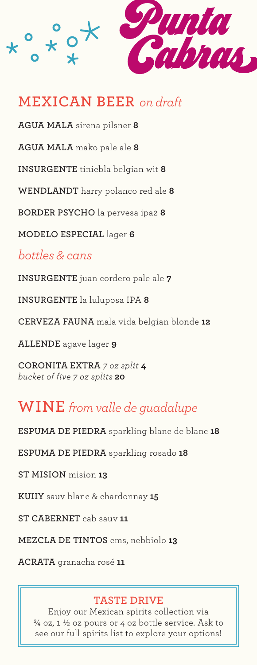

## **MEXICAN BEER** *on draft*

**AGUA MALA** sirena pilsner **8**

**AGUA MALA** mako pale ale **8**

**INSURGENTE** tiniebla belgian wit **8**

**WENDLANDT** harry polanco red ale **8**

**BORDER PSYCHO** la pervesa ipa2 **8**

**MODELO ESPECIAL** lager **6**

## *bottles & cans*

**INSURGENTE** juan cordero pale ale **7**

**INSURGENTE** la luluposa IPA **8**

**CERVEZA FAUNA** mala vida belgian blonde **12**

**ALLENDE** agave lager **9**

**CORONITA EXTRA** *7 oz split* **4**  *bucket of five 7 oz splits* **20**

## **WINE** *from valle de guadalupe*

**ESPUMA DE PIEDRA** sparkling blanc de blanc **18**

**ESPUMA DE PIEDRA** sparkling rosado **18**

**ST MISION** mision **13**

**KUIIY** sauv blanc & chardonnay **15**

**ST CABERNET** cab sauv **11**

**MEZCLA DE TINTOS** cms, nebbiolo **13**

**ACRATA** granacha rosé **11**

#### **TASTE DRIVE**

Enjoy our Mexican spirits collection via  $\frac{3}{4}$  oz, 1  $\frac{1}{2}$  oz pours or 4 oz bottle service. Ask to see our full spirits list to explore your options!